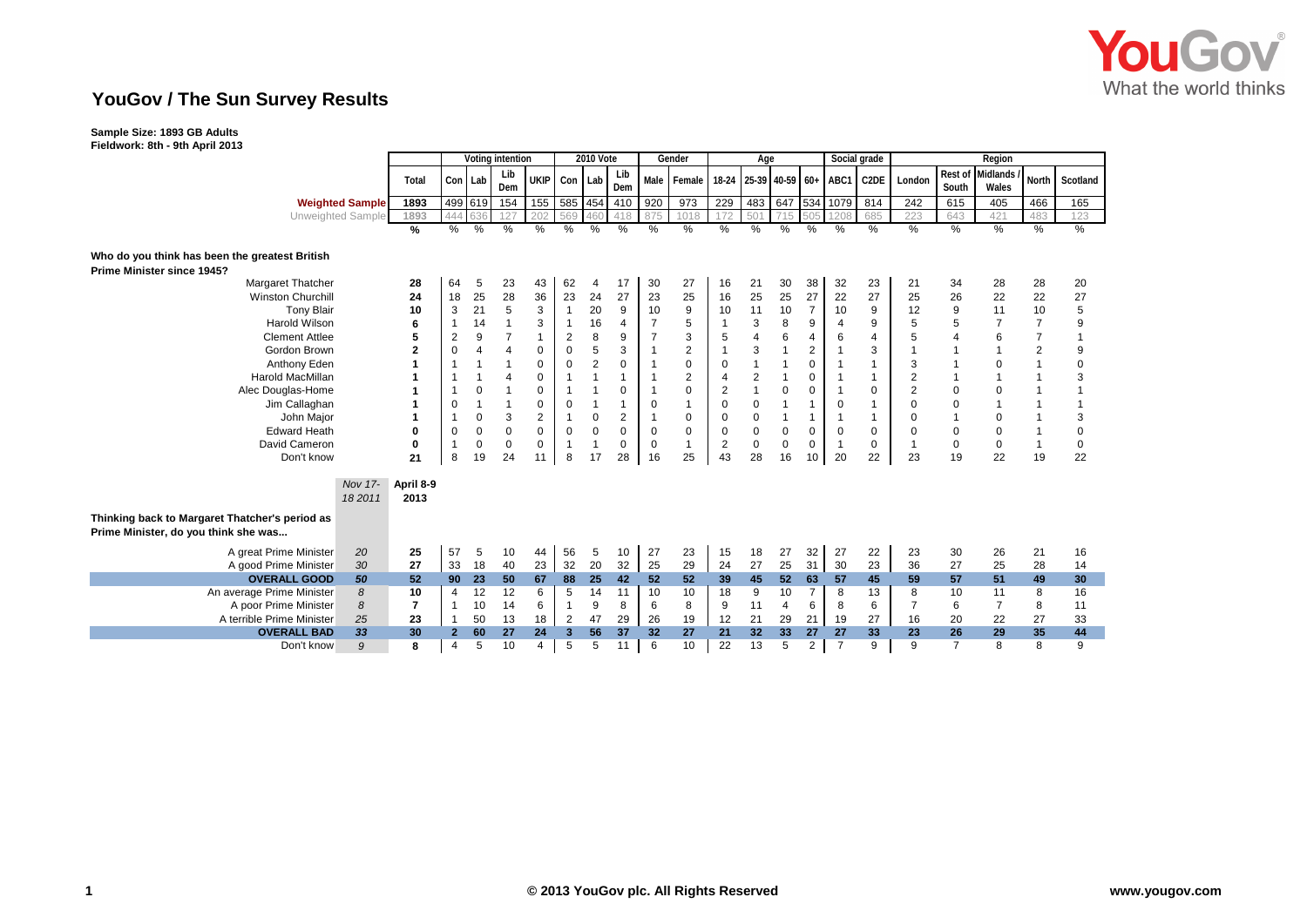

## **YouGov / The Sun Survey Results**

## **Sample Size: 1893 GB Adults**

**Fieldwork: 8th - 9th April 2013**

|                                                                                        |                           |                   | Voting intention |         |                |                |                         | <b>2010 Vote</b> |                |                | Gender         |                | Age                   |                |                |                | Social grade   | Region                   |                  |                   |                |             |
|----------------------------------------------------------------------------------------|---------------------------|-------------------|------------------|---------|----------------|----------------|-------------------------|------------------|----------------|----------------|----------------|----------------|-----------------------|----------------|----------------|----------------|----------------|--------------------------|------------------|-------------------|----------------|-------------|
|                                                                                        |                           | Total             | Con Lab          |         | Lib<br>Dem     | UKIP           | Con Lab                 |                  | Lib<br>Dem     | Male           | Female         |                | 18-24 25-39 40-59 60+ |                |                | ABC1           | C2DE           | London                   | Rest of<br>South | Midlands<br>Wales | <b>North</b>   | Scotland    |
|                                                                                        | <b>Weighted Sample</b>    | 1893              |                  | 499 619 | 154            | 155            |                         | 585 454          | 410            | 920            | 973            | 229            | 483                   |                | 647 534        | 1079           | 814            | 242                      | 615              | 405               | 466            | 165         |
|                                                                                        | Unweighted Sample         | 1893              | 444              |         | 127            | 202            | 569                     | 460              | 418            | 875            | 1018           |                | 501                   | 715            | 505            | 1208           | 685            | 223                      | 643              | 421               | 483            | 123         |
|                                                                                        |                           | %                 | %                | %       | %              | %              | %                       | $\%$             | %              | $\frac{9}{6}$  | $\%$           | %              | %                     | %              | %              | %              | %              | $\%$                     | %                | $\frac{9}{6}$     | $\%$           | $\%$        |
| Who do you think has been the greatest British<br>Prime Minister since 1945?           |                           |                   |                  |         |                |                |                         |                  |                |                |                |                |                       |                |                |                |                |                          |                  |                   |                |             |
| Margaret Thatcher                                                                      |                           | 28                | 64               | 5       | 23             | 43             | 62                      | 4                | 17             | 30             | 27             | 16             | 21                    | 30             | 38             | 32             | 23             | 21                       | 34               | 28                | 28             | 20          |
| <b>Winston Churchill</b>                                                               |                           | 24                | 18               | 25      | 28             | 36             | 23                      | 24               | 27             | 23             | 25             | 16             | 25                    | 25             | 27             | 22             | 27             | 25                       | 26               | 22                | 22             | 27          |
| <b>Tony Blair</b>                                                                      |                           | 10                | 3                | 21      | 5              | 3              | $\mathbf{1}$            | 20               | 9              | 10             | 9              | 10             | 11                    | 10             | $\overline{7}$ | 10             | 9              | 12                       | 9                | 11                | 10             | 5           |
| <b>Harold Wilson</b>                                                                   |                           | 6                 | 1                | 14      | 1              | 3              | $\overline{1}$          | 16               | 4              | $\overline{7}$ | 5              |                | 3                     | 8              | 9              | $\overline{4}$ | 9              | 5                        | 5                | $\overline{7}$    | $\overline{7}$ | 9           |
| <b>Clement Attlee</b>                                                                  |                           | 5                 | 2                | 9       | $\overline{7}$ | $\mathbf{1}$   | $\overline{2}$          | 8                | 9              | 7              | 3              | 5              | $\overline{4}$        | 6              | 4              | 6              | $\overline{4}$ | 5                        | $\overline{4}$   | 6                 | $\overline{7}$ |             |
| Gordon Brown                                                                           |                           | $\overline{2}$    | 0                | 4       | 4              | 0              | 0                       | 5                | 3              |                | $\overline{2}$ |                | 3                     | $\overline{1}$ | $\overline{2}$ | $\mathbf{1}$   | 3              | $\overline{\phantom{a}}$ |                  |                   | $\overline{2}$ | 9           |
| Anthony Eden                                                                           |                           |                   |                  |         |                | 0              | $\mathbf 0$             | $\overline{2}$   | $\mathbf 0$    |                | $\pmb{0}$      | $\Omega$       | $\overline{1}$        | 1              | $\Omega$       |                | 1              | 3                        |                  | 0                 |                | 0           |
| <b>Harold MacMillan</b>                                                                |                           |                   |                  |         | 4              | 0              |                         |                  |                |                | $\overline{2}$ | 4              | $\sqrt{2}$            | 1              | 0              |                | -1             | 2                        |                  |                   |                | 3           |
| Alec Douglas-Home                                                                      |                           |                   | $\mathbf 1$      | 0       |                | 0              |                         |                  | $\Omega$       |                | $\mathbf 0$    | $\overline{2}$ | $\overline{1}$        | $\mathbf 0$    | 0              |                | $\mathbf 0$    | 2                        | $\mathbf 0$      | 0                 |                |             |
| Jim Callaghan                                                                          |                           |                   | 0                |         |                | 0              | $\mathbf 0$             |                  |                | 0              | $\overline{1}$ | $\Omega$       | $\mathbf 0$           | 1              | $\overline{1}$ | $\mathbf 0$    | -1             | 0                        | $\mathbf 0$      |                   |                |             |
| John Major                                                                             |                           |                   | $\mathbf 1$      | 0       | 3              | $\overline{2}$ | $\overline{1}$          | $\mathbf 0$      | $\overline{2}$ |                | 0              | $\mathbf 0$    | $\mathbf 0$           | 1              | $\mathbf{1}$   | $\overline{1}$ | $\overline{1}$ | 0                        |                  | 0                 |                | 3           |
| <b>Edward Heath</b>                                                                    |                           | $\Omega$          | 0                | 0       | 0              | $\mathbf 0$    | $\mathbf 0$             | $\mathbf 0$      | $\mathbf 0$    | $\mathbf 0$    | $\mathbf 0$    | 0              | $\pmb{0}$             | 0              | 0              | $\mathbf 0$    | 0              | 0                        | 0                | 0                 |                | 0           |
| David Cameron                                                                          |                           | $\bf{0}$          | $\overline{1}$   | 0       | 0              | $\Omega$       | $\mathbf{1}$            | $\overline{1}$   | $\mathbf 0$    | $\Omega$       | $\mathbf{1}$   | $\overline{2}$ | $\mathbf 0$           | $\mathbf 0$    | $\Omega$       | $\mathbf{1}$   | $\mathbf 0$    | $\overline{1}$           | 0                | 0                 | $\overline{1}$ | $\mathbf 0$ |
| Don't know                                                                             |                           | 21                | 8                | 19      | 24             | 11             | 8                       | 17               | 28             | 16             | 25             | 43             | 28                    | 16             | 10             | 20             | 22             | 23                       | 19               | 22                | 19             | 22          |
|                                                                                        | <b>Nov 17-</b><br>18 2011 | April 8-9<br>2013 |                  |         |                |                |                         |                  |                |                |                |                |                       |                |                |                |                |                          |                  |                   |                |             |
| Thinking back to Margaret Thatcher's period as<br>Prime Minister, do you think she was |                           |                   |                  |         |                |                |                         |                  |                |                |                |                |                       |                |                |                |                |                          |                  |                   |                |             |
| A great Prime Minister                                                                 | 20                        | 25                | 57               | 5       | 10             | 44             | 56                      | 5                | 10             | 27             | 23             | 15             | 18                    | 27             | 32             | 27             | 22             | 23                       | 30               | 26                | 21             | 16          |
| A good Prime Minister                                                                  | 30                        | 27                | 33               | 18      | 40             | 23             | 32                      | 20               | 32             | 25             | 29             | 24             | 27                    | 25             | 31             | 30             | 23             | 36                       | 27               | 25                | 28             | 14          |
| <b>OVERALL GOOD</b>                                                                    | 50                        | 52                | 90 <sub>o</sub>  | 23      | 50             | 67             | 88                      | 25               | 42             | 52             | 52             | 39             | 45                    | 52             | 63             | 57             | 45             | 59                       | 57               | 51                | 49             | 30          |
| An average Prime Minister                                                              | 8                         | 10                | 4                | 12      | 12             | 6              | 5                       | 14               | 11             | 10             | 10             | 18             | 9                     | 10             | $\overline{7}$ | 8              | 13             | 8                        | 10               | 11                | 8              | 16          |
| A poor Prime Minister                                                                  | 8                         | $\overline{7}$    | $\mathbf{1}$     | 10      | 14             | 6              | $\overline{1}$          | 9                | 8              | 6              | 8              | 9              | 11                    | 4              | 6              | 8              | 6              | $\overline{7}$           | 6                | $\overline{7}$    | 8              | 11          |
| A terrible Prime Minister                                                              | 25                        | 23                |                  | 50      | 13             | 18             | 2                       | 47               | 29             | 26             | 19             | 12             | 21                    | 29             | 21             | 19             | 27             | 16                       | 20               | 22                | 27             | 33          |
| <b>OVERALL BAD</b>                                                                     | 33                        | 30                | $\overline{2}$   | 60      | 27             | 24             | $\overline{\mathbf{3}}$ | 56               | 37             | 32             | 27             | 21             | 32                    | 33             | 27             | 27             | 33             | 23                       | 26               | 29                | 35             | 44          |
| Don't know                                                                             | 9                         | 8                 | 4                | 5       | 10             | 4              | 5                       | 5                | 11             | 6              | 10             | 22             | 13                    | 5              | $\overline{2}$ | $\overline{7}$ | 9              | 9                        | $\overline{7}$   | 8                 | 8              | 9           |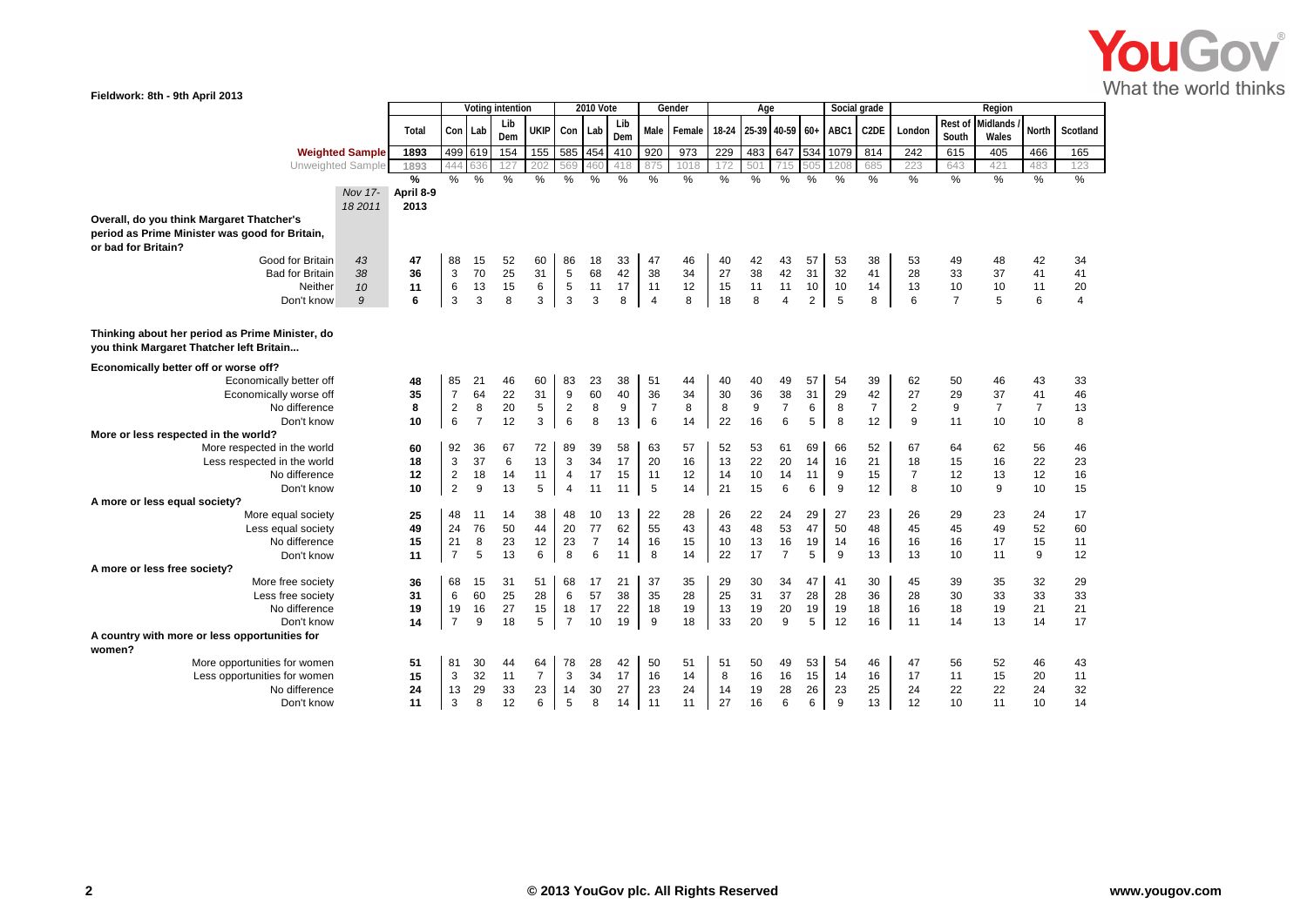

| Fieldwork: 8th - 9th April 2013                 |                                         |                  |                      |                |          |                |                        |                  |               |                |          |          |          |                |                |               |                |                |                |                |                |                |  |
|-------------------------------------------------|-----------------------------------------|------------------|----------------------|----------------|----------|----------------|------------------------|------------------|---------------|----------------|----------|----------|----------|----------------|----------------|---------------|----------------|----------------|----------------|----------------|----------------|----------------|--|
|                                                 |                                         | Voting intention |                      |                |          |                |                        | <b>2010 Vote</b> |               |                | Gender   |          | Age      |                |                |               | Social grade   |                | Region         |                |                |                |  |
|                                                 | Total                                   |                  |                      | Con Lab        | Lib      | <b>UKIP</b>    |                        | Con Lab          | Lib           | Male           | Female   | $18-24$  | 25-39    | $40-59$ 60+    |                | ABC1          | C2DE           | London         | Rest of        | Midlands       | <b>North</b>   | Scotland       |  |
|                                                 |                                         |                  |                      |                | Dem      |                |                        |                  | Dem           |                |          |          |          |                |                |               |                |                | South          | Wales          |                |                |  |
| <b>Weighted Sample</b>                          | 1893                                    |                  |                      | 499 619        | 154      | 155            |                        | 585 454          | 410           | 920            | 973      | 229      | 483      |                | 647 534        | 1079          | 814            | 242            | 615            | 405            | 466            | 165            |  |
| Unweighted Sample                               | 1893                                    |                  | 444                  |                | 127      | 202            | 569                    | 460              | 418           | 875            | 1018     | 172      | 501      | 715            | 505            | 1208          | 685            | 223            | 643            | 421            | 483            | 123            |  |
|                                                 | $\frac{9}{6}$                           |                  | %                    | %              | %        | %              | $\frac{0}{0}$          | $\%$             | $\frac{0}{0}$ | %              | $\%$     | %        | $\%$     | %              | $\frac{0}{0}$  | $\frac{0}{0}$ | $\%$           | $\%$           | %              | %              | %              | %              |  |
|                                                 | April 8-9<br>Nov 17-<br>18 2011<br>2013 |                  |                      |                |          |                |                        |                  |               |                |          |          |          |                |                |               |                |                |                |                |                |                |  |
| Overall, do you think Margaret Thatcher's       |                                         |                  |                      |                |          |                |                        |                  |               |                |          |          |          |                |                |               |                |                |                |                |                |                |  |
| period as Prime Minister was good for Britain,  |                                         |                  |                      |                |          |                |                        |                  |               |                |          |          |          |                |                |               |                |                |                |                |                |                |  |
| or bad for Britain?                             |                                         |                  |                      |                |          |                |                        |                  |               |                |          |          |          |                |                |               |                |                |                |                |                |                |  |
| Good for Britain                                | 43<br>47                                |                  | 88                   | 15             | 52       | 60             | 86                     | 18               | 33            | 47             | 46       | 40       | 42       | 43             | 57             | 53            | 38             | 53             | 49             | 48             | 42             | 34             |  |
| <b>Bad for Britain</b>                          | 38<br>36                                |                  | 3                    | 70             | 25       | 31             | $\,$ 5 $\,$            | 68               | 42            | 38             | 34       | 27       | 38       | 42             | 31             | 32            | 41             | 28             | 33             | 37             | 41             | 41             |  |
| Neither                                         | 10<br>11                                |                  | $\,6\,$              | 13             | 15       | 6              | 5                      | 11               | 17            | 11             | 12       | 15       | 11       | 11             | 10             | 10            | 14             | 13             | 10             | 10             | 11             | 20             |  |
| Don't know                                      | 9<br>6                                  |                  | 3                    | 3              | 8        | 3              | 3                      | 3                | 8             | $\overline{4}$ | 8        | 18       | 8        | 4              | $\overline{2}$ | 5             | 8              | 6              | $\overline{7}$ | 5              | 6              | $\overline{4}$ |  |
|                                                 |                                         |                  |                      |                |          |                |                        |                  |               |                |          |          |          |                |                |               |                |                |                |                |                |                |  |
| Thinking about her period as Prime Minister, do |                                         |                  |                      |                |          |                |                        |                  |               |                |          |          |          |                |                |               |                |                |                |                |                |                |  |
| you think Margaret Thatcher left Britain        |                                         |                  |                      |                |          |                |                        |                  |               |                |          |          |          |                |                |               |                |                |                |                |                |                |  |
|                                                 |                                         |                  |                      |                |          |                |                        |                  |               |                |          |          |          |                |                |               |                |                |                |                |                |                |  |
| Economically better off or worse off?           |                                         |                  |                      |                |          |                |                        |                  |               |                |          |          |          |                |                |               |                |                |                |                |                |                |  |
| Economically better off                         | 48<br>35                                |                  | 85<br>$\overline{7}$ | 21<br>64       | 46<br>22 | 60<br>31       | 83<br>$\boldsymbol{9}$ | 23<br>60         | 38<br>40      | 51<br>36       | 44<br>34 | 40<br>30 | 40<br>36 | 49<br>38       | 57<br>31       | 54<br>29      | 39<br>42       | 62<br>27       | 50<br>29       | 46<br>37       | 43<br>41       | 33<br>46       |  |
| Economically worse off<br>No difference         | 8                                       |                  | $\sqrt{2}$           | 8              | 20       | $\sqrt{5}$     | $\overline{2}$         | 8                | 9             | $\overline{7}$ | 8        | 8        | 9        | $\overline{7}$ | 6              | 8             | $\overline{7}$ | $\overline{2}$ | 9              | $\overline{7}$ | $\overline{7}$ | 13             |  |
| Don't know                                      | 10                                      |                  | 6                    | $\overline{7}$ | 12       | 3              | 6                      | 8                | 13            | 6              | 14       | 22       | 16       | 6              | 5              | 8             | 12             | 9              | 11             | 10             | 10             | 8              |  |
| More or less respected in the world?            |                                         |                  |                      |                |          |                |                        |                  |               |                |          |          |          |                |                |               |                |                |                |                |                |                |  |
| More respected in the world                     | 60                                      |                  | 92                   | 36             | 67       | 72             | 89                     | 39               | 58            | 63             | 57       | 52       | 53       | 61             | 69             | 66            | 52             | 67             | 64             | 62             | 56             | 46             |  |
| Less respected in the world                     | 18                                      |                  | $\mathsf 3$          | 37             | 6        | 13             | 3                      | 34               | 17            | 20             | 16       | 13       | 22       | 20             | 14             | 16            | 21             | 18             | 15             | 16             | 22             | 23             |  |
| No difference                                   | 12                                      |                  | $\sqrt{2}$           | 18             | 14       | 11             | $\overline{4}$         | 17               | 15            | 11             | 12       | 14       | 10       | 14             | 11             | 9             | 15             | $\overline{7}$ | 12             | 13             | 12             | 16             |  |
| Don't know                                      | 10                                      |                  | $\overline{2}$       | 9              | 13       | 5              | 4                      | 11               | 11            | 5              | 14       | 21       | 15       | 6              | 6              | 9             | 12             | 8              | 10             | 9              | 10             | 15             |  |
| A more or less equal society?                   |                                         |                  |                      |                |          |                |                        |                  |               |                |          |          |          |                |                |               |                |                |                |                |                |                |  |
| More equal society                              | 25                                      |                  | 48                   | 11             | 14       | 38             | 48                     | 10               | 13            | 22             | 28       | 26       | 22       | 24             | 29             | 27            | 23             | 26             | 29             | 23             | 24             | 17             |  |
| Less equal society                              | 49                                      |                  | 24                   | 76             | 50       | 44             | 20                     | 77               | 62            | 55             | 43       | 43       | 48       | 53             | 47             | 50            | 48             | 45             | 45             | 49             | 52             | 60             |  |
| No difference                                   | 15                                      |                  | 21                   | 8              | 23       | 12             | 23                     | $\overline{7}$   | 14            | 16             | 15       | 10       | 13       | 16             | 19             | 14            | 16             | 16             | 16             | 17             | 15             | 11             |  |
| Don't know                                      | 11                                      |                  | $\overline{7}$       | 5              | 13       | 6              | 8                      | 6                | 11            | 8              | 14       | 22       | 17       | $\overline{7}$ | 5              | 9             | 13             | 13             | 10             | 11             | 9              | 12             |  |
| A more or less free society?                    |                                         |                  |                      |                |          |                |                        |                  |               |                |          |          |          |                |                |               |                |                |                |                |                |                |  |
| More free society                               | 36                                      |                  | 68                   | 15<br>60       | 31<br>25 | 51<br>28       | 68                     | 17<br>57         | 21            | 37             | 35<br>28 | 29<br>25 | 30<br>31 | 34<br>37       | 47<br>28       | 41            | 30<br>36       | 45             | 39             | 35             | 32<br>33       | 29             |  |
| Less free society<br>No difference              | 31<br>19                                |                  | 6<br>19              | 16             | 27       | 15             | 6<br>18                | 17               | 38<br>22      | 35<br>18       | 19       | 13       | 19       | 20             | 19             | 28<br>19      | 18             | 28<br>16       | 30<br>18       | 33<br>19       | 21             | 33<br>21       |  |
| Don't know                                      | 14                                      |                  | $\overline{7}$       | 9              | 18       | 5              | $\overline{7}$         | 10               | 19            | 9              | 18       | 33       | 20       | 9              | 5              | 12            | 16             | 11             | 14             | 13             | 14             | 17             |  |
| A country with more or less opportunities for   |                                         |                  |                      |                |          |                |                        |                  |               |                |          |          |          |                |                |               |                |                |                |                |                |                |  |
| women?                                          |                                         |                  |                      |                |          |                |                        |                  |               |                |          |          |          |                |                |               |                |                |                |                |                |                |  |
| More opportunities for women                    | 51                                      |                  | 81                   | 30             | 44       | 64             | 78                     | 28               | 42            | 50             | 51       | 51       | 50       | 49             | 53             | 54            | 46             | 47             | 56             | 52             | 46             | 43             |  |
| Less opportunities for women                    | 15                                      |                  | 3                    | 32             | 11       | $\overline{7}$ | $\mathbf{3}$           | 34               | 17            | 16             | 14       | 8        | 16       | 16             | 15             | 14            | 16             | 17             | 11             | 15             | 20             | 11             |  |
| No difference                                   | 24                                      |                  | 13                   | 29             | 33       | 23             | 14                     | 30               | 27            | 23             | 24       | 14       | 19       | 28             | 26             | 23            | 25             | 24             | 22             | 22             | 24             | 32             |  |
| Don't know                                      | 11                                      |                  | 3                    | 8              | 12       | 6              | 5                      | 8                | 14            | 11             | 11       | 27       | 16       | 6              | 6              | 9             | 13             | 12             | 10             | 11             | 10             | 14             |  |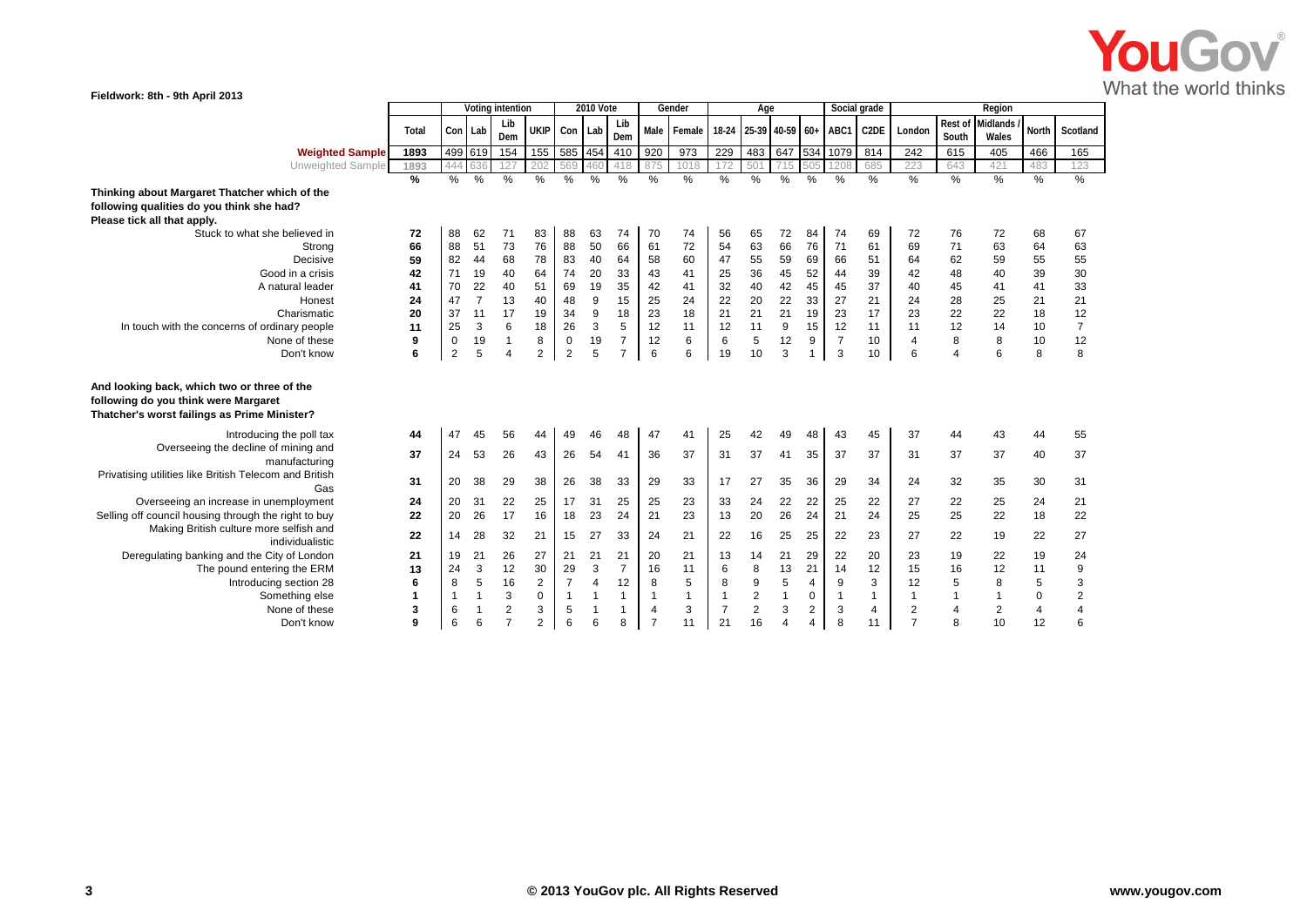

| Fieldwork: 8th - 9th April 2013<br>Social grade                                                                                     |               |                  |                |                |                     |                |                  |                |                |              |                |                  |                |                |                |                   |                         |                  |                          |               |                |
|-------------------------------------------------------------------------------------------------------------------------------------|---------------|------------------|----------------|----------------|---------------------|----------------|------------------|----------------|----------------|--------------|----------------|------------------|----------------|----------------|----------------|-------------------|-------------------------|------------------|--------------------------|---------------|----------------|
|                                                                                                                                     |               | Voting intention |                |                | 2010 Vote           |                |                  |                | Gender         | Age          |                |                  |                |                |                | Region            |                         |                  |                          |               |                |
|                                                                                                                                     | Total         |                  | Con Lab        | Lib<br>Dem     | UKIP Con Lab        |                |                  | Lib<br>Dem     |                | Male Female  | 18-24          | 25-39 40-59 60+  |                |                | ABC1           | C <sub>2</sub> DE | London                  | Rest of<br>South | <b>Midlands</b><br>Wales | North         | Scotland       |
| <b>Weighted Sample</b>                                                                                                              | 1893          |                  | 499 619        | 154            | 155                 | 585 454        |                  | 410            | 920            | 973          | 229            | 483              | 647 534        |                | 1079           | 814               | 242                     | 615              | 405                      | 466           | 165            |
| Unweighted Sample                                                                                                                   | 1893          | 444              |                | 127            | 202                 | 569            | 460              | 418            | 875            | 1018         |                | 501              | 715            | 505            | 1208           | 685               | 223                     | 643              | 421                      | 483           | 123            |
|                                                                                                                                     | $\frac{9}{6}$ | %                | %              | $\frac{9}{6}$  | %                   | %              | %                | %              | %              | %            | %              | %                | $\frac{0}{6}$  | %              | $\frac{0}{6}$  | $\%$              | %                       | $\frac{9}{6}$    | $\frac{0}{6}$            | $\frac{0}{6}$ | $\frac{0}{6}$  |
| Thinking about Margaret Thatcher which of the                                                                                       |               |                  |                |                |                     |                |                  |                |                |              |                |                  |                |                |                |                   |                         |                  |                          |               |                |
| following qualities do you think she had?                                                                                           |               |                  |                |                |                     |                |                  |                |                |              |                |                  |                |                |                |                   |                         |                  |                          |               |                |
| Please tick all that apply.                                                                                                         |               |                  |                |                |                     |                |                  |                |                |              |                |                  |                |                |                |                   |                         |                  |                          |               |                |
| Stuck to what she believed in                                                                                                       | 72            | 88               | 62             | 71             | 83                  | 88             | 63               | 74             | 70             | 74           | 56             | 65               | 72             | 84             | 74             | 69                | 72                      | 76               | 72                       | 68            | 67             |
| Strong                                                                                                                              | 66            | 88               | 51             | 73             | 76                  | 88             | 50               | 66             | 61             | 72           | 54             | 63               | 66             | 76             | 71             | 61                | 69                      | 71               | 63                       | 64            | 63             |
| Decisive                                                                                                                            | 59            | 82               | 44             | 68             | 78                  | 83             | 40               | 64             | 58             | 60           | 47             | 55               | 59             | 69             | 66             | 51                | 64                      | 62               | 59                       | 55            | 55             |
| Good in a crisis                                                                                                                    | 42            | 71               | 19             | 40             | 64                  | 74             | 20               | 33             | 43             | 41           | 25             | 36               | 45             | 52             | 44             | 39                | 42                      | 48               | 40                       | 39            | 30             |
| A natural leader                                                                                                                    | 41            | 70               | 22             | 40             | 51                  | 69             | 19               | 35             | 42             | 41           | 32             | 40               | 42             | 45             | 45             | 37                | 40                      | 45               | 41                       | 41            | 33             |
| Honest                                                                                                                              | 24            | 47               | $\overline{7}$ | 13             | 40                  | 48             | $\boldsymbol{9}$ | 15             | 25             | 24           | 22             | $20\,$           | 22             | 33             | 27             | 21                | 24                      | 28               | 25                       | 21            | 21             |
| Charismatic                                                                                                                         | 20            | 37               | 11             | 17             | 19                  | 34             | 9                | 18             | 23             | 18           | 21             | 21               | 21             | 19             | 23             | 17                | 23                      | 22               | 22                       | 18            | 12             |
| In touch with the concerns of ordinary people                                                                                       | 11            | 25               | 3              | 6              | 18                  | 26             | $\mathsf 3$      | $\sqrt{5}$     | 12             | 11           | 12             | 11               | 9              | 15             | 12             | 11                | 11                      | 12               | 14                       | 10            | $\overline{7}$ |
| None of these                                                                                                                       | 9             | $\mathbf 0$      | 19             | $\mathbf{1}$   | 8                   | $\overline{0}$ | 19               | $\overline{7}$ | 12             | 6            | 6              | 5                | 12             | 9              | $\overline{7}$ | 10                | $\overline{4}$          | 8                | 8                        | 10            | 12             |
| Don't know                                                                                                                          | 6             | $\overline{2}$   | 5              | $\overline{4}$ | $\overline{2}$      | $\overline{2}$ | 5                | $\overline{7}$ | 6              | 6            | 19             | 10               | 3              | 1              | 3              | 10                | 6                       | $\overline{4}$   | 6                        | 8             | 8              |
| And looking back, which two or three of the<br>following do you think were Margaret<br>Thatcher's worst failings as Prime Minister? |               |                  |                |                |                     |                |                  |                |                |              |                |                  |                |                |                |                   |                         |                  |                          |               |                |
| Introducing the poll tax                                                                                                            | 44            | 47               | 45             | 56             | 44                  | 49             | 46               | 48             | 47             | 41           | 25             | 42               | 49             | 48             | 43             | 45                | 37                      | 44               | 43                       | 44            | 55             |
| Overseeing the decline of mining and<br>manufacturing                                                                               | 37            | 24               | 53             | 26             | 43                  | 26             | 54               | 41             | 36             | 37           | 31             | 37               | 41             | 35             | 37             | 37                | 31                      | 37               | 37                       | 40            | 37             |
| Privatising utilities like British Telecom and British<br>Gas                                                                       | 31            | 20               | 38             | 29             | 38                  | 26             | 38               | 33             | 29             | 33           | 17             | 27               | 35             | 36             | 29             | 34                | 24                      | 32               | 35                       | 30            | 31             |
| Overseeing an increase in unemployment                                                                                              | 24            | 20               | 31             | 22             | 25                  | 17             | 31               | 25             | 25             | 23           | 33             | 24               | 22             | 22             | 25             | 22                | 27                      | 22               | 25                       | 24            | 21             |
| Selling off council housing through the right to buy                                                                                | 22            | 20               | 26             | 17             | 16                  | 18             | 23               | 24             | 21             | 23           | 13             | 20               | 26             | 24             | 21             | 24                | 25                      | 25               | 22                       | 18            | 22             |
| Making British culture more selfish and<br>individualistic                                                                          | 22            | 14               | 28             | 32             | 21                  | 15             | 27               | 33             | 24             | 21           | 22             | 16               | 25             | 25             | 22             | 23                | 27                      | 22               | 19                       | 22            | 27             |
| Deregulating banking and the City of London                                                                                         | 21            | 19               | 21             | 26             | 27                  | 21             | 21               | 21             | 20             | 21           | 13             | 14               | 21             | 29             | 22             | 20                | 23                      | 19               | 22                       | 19            | 24             |
| The pound entering the ERM                                                                                                          | 13            | 24               | 3              | 12             | 30                  | 29             | 3                | $\overline{7}$ | 16             | 11           | 6              | 8                | 13             | 21             | 14             | 12                | 15                      | 16               | 12                       | 11            | 9              |
| Introducing section 28                                                                                                              | 6             | 8                | 5              | 16             | $\overline{c}$      | $\overline{7}$ | $\overline{4}$   | 12             | 8              | 5            | 8              | $\boldsymbol{9}$ | $\sqrt{5}$     | $\overline{4}$ | 9              | 3                 | 12                      | $\sqrt{5}$       | 8                        | 5             | 3              |
| Something else                                                                                                                      | 1             | $\mathbf{1}$     | $\mathbf{1}$   | 3              | $\mathsf{O}\xspace$ | $\overline{1}$ | $\overline{1}$   | $\overline{1}$ | $\overline{1}$ | $\mathbf{1}$ | $\mathbf{1}$   | $\sqrt{2}$       | $\mathbf{1}$   | $\mathbf 0$    | $\mathbf{1}$   | $\mathbf{1}$      | $\overline{1}$          | $\overline{1}$   | $\mathbf{1}$             | $\pmb{0}$     | $\overline{2}$ |
| None of these                                                                                                                       | 3             | 6                | $\overline{1}$ | $\mathbf 2$    | 3                   | 5              | $\overline{1}$   | $\mathbf{1}$   | $\overline{4}$ | 3            | $\overline{7}$ | $\overline{2}$   | 3              | $\overline{2}$ | $\sqrt{3}$     | 4                 | $\overline{\mathbf{c}}$ | $\sqrt{4}$       | $\overline{c}$           | $\sqrt{4}$    | $\overline{4}$ |
| Don't know                                                                                                                          | g             | 6                | 6              | $\overline{7}$ | $\overline{2}$      | 6              | 6                | 8              | $\overline{7}$ | 11           | 21             | 16               | $\overline{4}$ | 4              | 8              | 11                | $\overline{7}$          | 8                | 10                       | 12            | 6              |